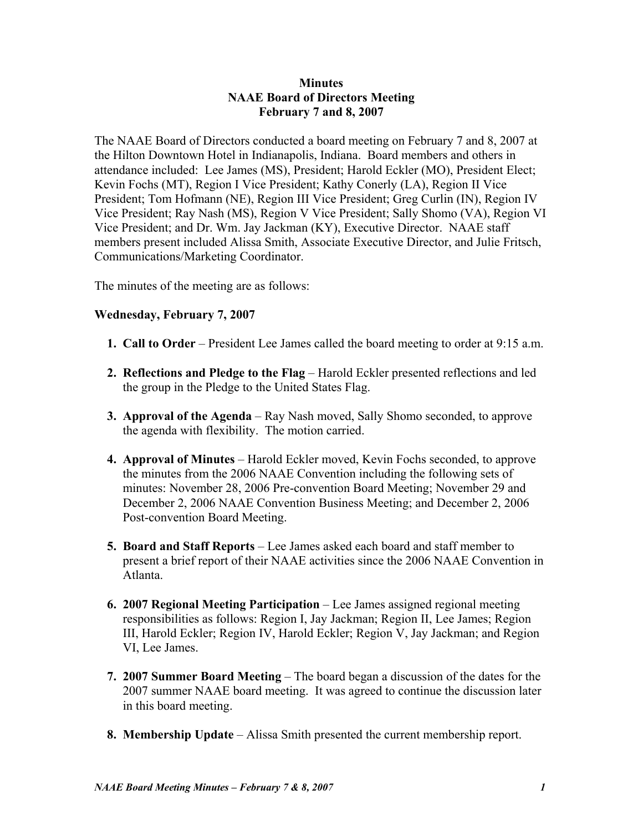## **Minutes NAAE Board of Directors Meeting February 7 and 8, 2007**

The NAAE Board of Directors conducted a board meeting on February 7 and 8, 2007 at the Hilton Downtown Hotel in Indianapolis, Indiana. Board members and others in attendance included: Lee James (MS), President; Harold Eckler (MO), President Elect; Kevin Fochs (MT), Region I Vice President; Kathy Conerly (LA), Region II Vice President; Tom Hofmann (NE), Region III Vice President; Greg Curlin (IN), Region IV Vice President; Ray Nash (MS), Region V Vice President; Sally Shomo (VA), Region VI Vice President; and Dr. Wm. Jay Jackman (KY), Executive Director. NAAE staff members present included Alissa Smith, Associate Executive Director, and Julie Fritsch, Communications/Marketing Coordinator.

The minutes of the meeting are as follows:

## **Wednesday, February 7, 2007**

- **1. Call to Order** President Lee James called the board meeting to order at 9:15 a.m.
- **2. Reflections and Pledge to the Flag** Harold Eckler presented reflections and led the group in the Pledge to the United States Flag.
- **3. Approval of the Agenda** Ray Nash moved, Sally Shomo seconded, to approve the agenda with flexibility. The motion carried.
- **4. Approval of Minutes** Harold Eckler moved, Kevin Fochs seconded, to approve the minutes from the 2006 NAAE Convention including the following sets of minutes: November 28, 2006 Pre-convention Board Meeting; November 29 and December 2, 2006 NAAE Convention Business Meeting; and December 2, 2006 Post-convention Board Meeting.
- **5. Board and Staff Reports** Lee James asked each board and staff member to present a brief report of their NAAE activities since the 2006 NAAE Convention in Atlanta.
- **6. 2007 Regional Meeting Participation** Lee James assigned regional meeting responsibilities as follows: Region I, Jay Jackman; Region II, Lee James; Region III, Harold Eckler; Region IV, Harold Eckler; Region V, Jay Jackman; and Region VI, Lee James.
- **7. 2007 Summer Board Meeting** The board began a discussion of the dates for the 2007 summer NAAE board meeting. It was agreed to continue the discussion later in this board meeting.
- **8. Membership Update** Alissa Smith presented the current membership report.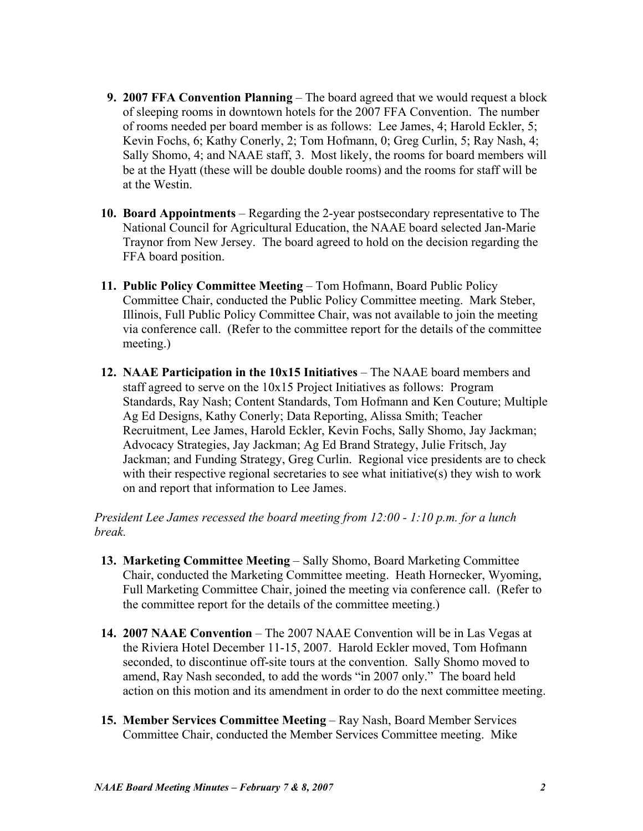- **9. 2007 FFA Convention Planning** The board agreed that we would request a block of sleeping rooms in downtown hotels for the 2007 FFA Convention. The number of rooms needed per board member is as follows: Lee James, 4; Harold Eckler, 5; Kevin Fochs, 6; Kathy Conerly, 2; Tom Hofmann, 0; Greg Curlin, 5; Ray Nash, 4; Sally Shomo, 4; and NAAE staff, 3. Most likely, the rooms for board members will be at the Hyatt (these will be double double rooms) and the rooms for staff will be at the Westin.
- **10. Board Appointments** Regarding the 2-year postsecondary representative to The National Council for Agricultural Education, the NAAE board selected Jan-Marie Traynor from New Jersey. The board agreed to hold on the decision regarding the FFA board position.
- **11. Public Policy Committee Meeting** Tom Hofmann, Board Public Policy Committee Chair, conducted the Public Policy Committee meeting. Mark Steber, Illinois, Full Public Policy Committee Chair, was not available to join the meeting via conference call. (Refer to the committee report for the details of the committee meeting.)
- **12. NAAE Participation in the 10x15 Initiatives** The NAAE board members and staff agreed to serve on the 10x15 Project Initiatives as follows: Program Standards, Ray Nash; Content Standards, Tom Hofmann and Ken Couture; Multiple Ag Ed Designs, Kathy Conerly; Data Reporting, Alissa Smith; Teacher Recruitment, Lee James, Harold Eckler, Kevin Fochs, Sally Shomo, Jay Jackman; Advocacy Strategies, Jay Jackman; Ag Ed Brand Strategy, Julie Fritsch, Jay Jackman; and Funding Strategy, Greg Curlin. Regional vice presidents are to check with their respective regional secretaries to see what initiative(s) they wish to work on and report that information to Lee James.

## *President Lee James recessed the board meeting from 12:00 - 1:10 p.m. for a lunch break.*

- **13. Marketing Committee Meeting** Sally Shomo, Board Marketing Committee Chair, conducted the Marketing Committee meeting. Heath Hornecker, Wyoming, Full Marketing Committee Chair, joined the meeting via conference call. (Refer to the committee report for the details of the committee meeting.)
- **14. 2007 NAAE Convention** The 2007 NAAE Convention will be in Las Vegas at the Riviera Hotel December 11-15, 2007. Harold Eckler moved, Tom Hofmann seconded, to discontinue off-site tours at the convention. Sally Shomo moved to amend, Ray Nash seconded, to add the words "in 2007 only." The board held action on this motion and its amendment in order to do the next committee meeting.
- **15. Member Services Committee Meeting** Ray Nash, Board Member Services Committee Chair, conducted the Member Services Committee meeting. Mike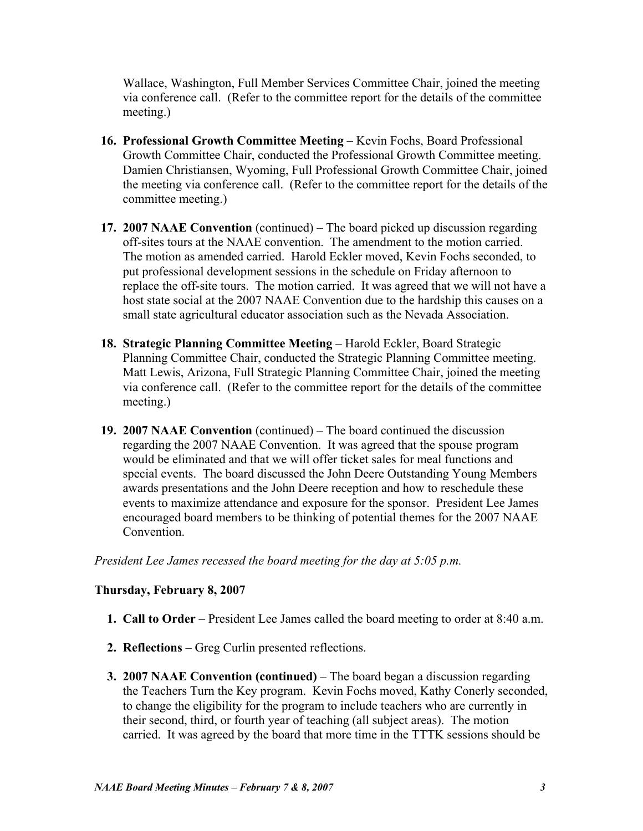Wallace, Washington, Full Member Services Committee Chair, joined the meeting via conference call. (Refer to the committee report for the details of the committee meeting.)

- **16. Professional Growth Committee Meeting** Kevin Fochs, Board Professional Growth Committee Chair, conducted the Professional Growth Committee meeting. Damien Christiansen, Wyoming, Full Professional Growth Committee Chair, joined the meeting via conference call. (Refer to the committee report for the details of the committee meeting.)
- **17. 2007 NAAE Convention** (continued) The board picked up discussion regarding off-sites tours at the NAAE convention. The amendment to the motion carried. The motion as amended carried. Harold Eckler moved, Kevin Fochs seconded, to put professional development sessions in the schedule on Friday afternoon to replace the off-site tours. The motion carried. It was agreed that we will not have a host state social at the 2007 NAAE Convention due to the hardship this causes on a small state agricultural educator association such as the Nevada Association.
- **18. Strategic Planning Committee Meeting** Harold Eckler, Board Strategic Planning Committee Chair, conducted the Strategic Planning Committee meeting. Matt Lewis, Arizona, Full Strategic Planning Committee Chair, joined the meeting via conference call. (Refer to the committee report for the details of the committee meeting.)
- **19. 2007 NAAE Convention** (continued) The board continued the discussion regarding the 2007 NAAE Convention. It was agreed that the spouse program would be eliminated and that we will offer ticket sales for meal functions and special events. The board discussed the John Deere Outstanding Young Members awards presentations and the John Deere reception and how to reschedule these events to maximize attendance and exposure for the sponsor. President Lee James encouraged board members to be thinking of potential themes for the 2007 NAAE Convention.

*President Lee James recessed the board meeting for the day at 5:05 p.m.* 

## **Thursday, February 8, 2007**

- **1. Call to Order** President Lee James called the board meeting to order at 8:40 a.m.
- **2. Reflections**  Greg Curlin presented reflections.
- **3. 2007 NAAE Convention (continued)** The board began a discussion regarding the Teachers Turn the Key program. Kevin Fochs moved, Kathy Conerly seconded, to change the eligibility for the program to include teachers who are currently in their second, third, or fourth year of teaching (all subject areas). The motion carried. It was agreed by the board that more time in the TTTK sessions should be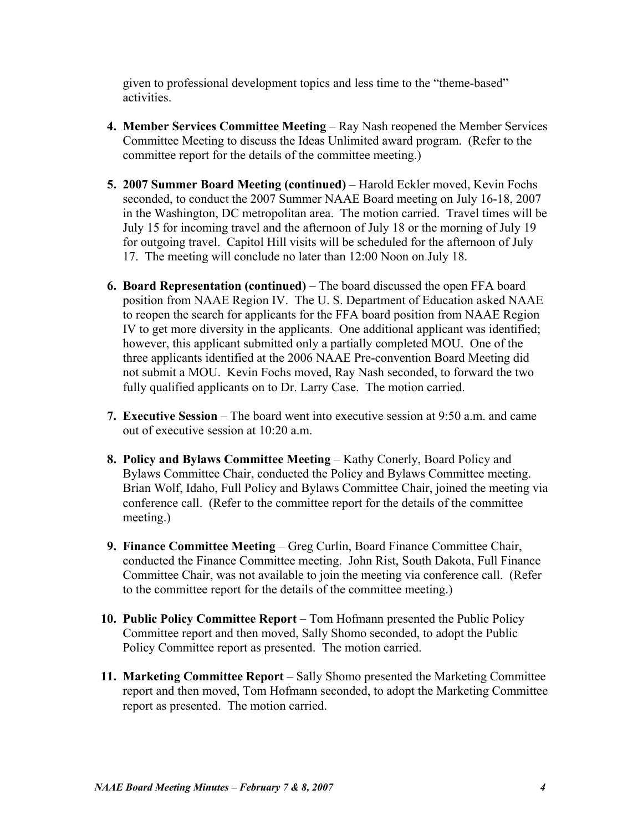given to professional development topics and less time to the "theme-based" activities.

- **4. Member Services Committee Meeting** Ray Nash reopened the Member Services Committee Meeting to discuss the Ideas Unlimited award program. (Refer to the committee report for the details of the committee meeting.)
- **5. 2007 Summer Board Meeting (continued)** Harold Eckler moved, Kevin Fochs seconded, to conduct the 2007 Summer NAAE Board meeting on July 16-18, 2007 in the Washington, DC metropolitan area. The motion carried. Travel times will be July 15 for incoming travel and the afternoon of July 18 or the morning of July 19 for outgoing travel. Capitol Hill visits will be scheduled for the afternoon of July 17. The meeting will conclude no later than 12:00 Noon on July 18.
- **6. Board Representation (continued)** The board discussed the open FFA board position from NAAE Region IV. The U. S. Department of Education asked NAAE to reopen the search for applicants for the FFA board position from NAAE Region IV to get more diversity in the applicants. One additional applicant was identified; however, this applicant submitted only a partially completed MOU. One of the three applicants identified at the 2006 NAAE Pre-convention Board Meeting did not submit a MOU. Kevin Fochs moved, Ray Nash seconded, to forward the two fully qualified applicants on to Dr. Larry Case. The motion carried.
- **7. Executive Session** The board went into executive session at 9:50 a.m. and came out of executive session at 10:20 a.m.
- **8. Policy and Bylaws Committee Meeting Kathy Conerly, Board Policy and** Bylaws Committee Chair, conducted the Policy and Bylaws Committee meeting. Brian Wolf, Idaho, Full Policy and Bylaws Committee Chair, joined the meeting via conference call. (Refer to the committee report for the details of the committee meeting.)
- **9. Finance Committee Meeting**  Greg Curlin, Board Finance Committee Chair, conducted the Finance Committee meeting. John Rist, South Dakota, Full Finance Committee Chair, was not available to join the meeting via conference call. (Refer to the committee report for the details of the committee meeting.)
- **10. Public Policy Committee Report** Tom Hofmann presented the Public Policy Committee report and then moved, Sally Shomo seconded, to adopt the Public Policy Committee report as presented. The motion carried.
- **11. Marketing Committee Report**  Sally Shomo presented the Marketing Committee report and then moved, Tom Hofmann seconded, to adopt the Marketing Committee report as presented. The motion carried.